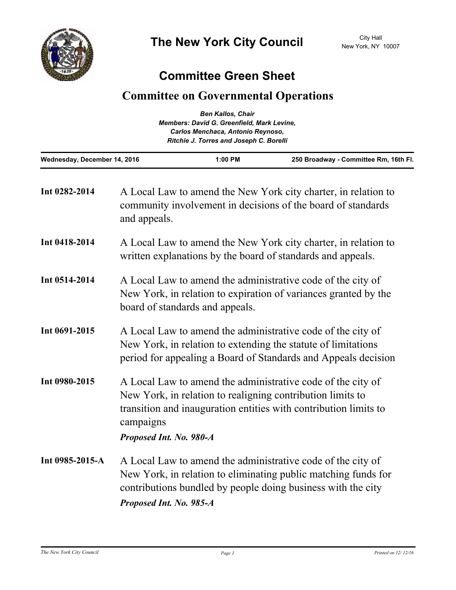

## **Committee Green Sheet**

## **Committee on Governmental Operations**

|                                            | <b>Ben Kallos, Chair</b>                |                                       |  |
|--------------------------------------------|-----------------------------------------|---------------------------------------|--|
| Members: David G. Greenfield, Mark Levine, |                                         |                                       |  |
|                                            | Carlos Menchaca, Antonio Reynoso,       |                                       |  |
|                                            | Ritchie J. Torres and Joseph C. Borelli |                                       |  |
| Wednesday, December 14, 2016               | $1:00$ PM                               | 250 Broadway - Committee Rm, 16th Fl. |  |

| Int 0282-2014   | A Local Law to amend the New York city charter, in relation to<br>community involvement in decisions of the board of standards<br>and appeals.                                                                                        |
|-----------------|---------------------------------------------------------------------------------------------------------------------------------------------------------------------------------------------------------------------------------------|
| Int 0418-2014   | A Local Law to amend the New York city charter, in relation to<br>written explanations by the board of standards and appeals.                                                                                                         |
| Int 0514-2014   | A Local Law to amend the administrative code of the city of<br>New York, in relation to expiration of variances granted by the<br>board of standards and appeals.                                                                     |
| Int 0691-2015   | A Local Law to amend the administrative code of the city of<br>New York, in relation to extending the statute of limitations<br>period for appealing a Board of Standards and Appeals decision                                        |
| Int 0980-2015   | A Local Law to amend the administrative code of the city of<br>New York, in relation to realigning contribution limits to<br>transition and inauguration entities with contribution limits to<br>campaigns<br>Proposed Int. No. 980-A |
| Int 0985-2015-A | A Local Law to amend the administrative code of the city of<br>New York, in relation to eliminating public matching funds for<br>contributions bundled by people doing business with the city<br>Proposed Int. No. 985-A              |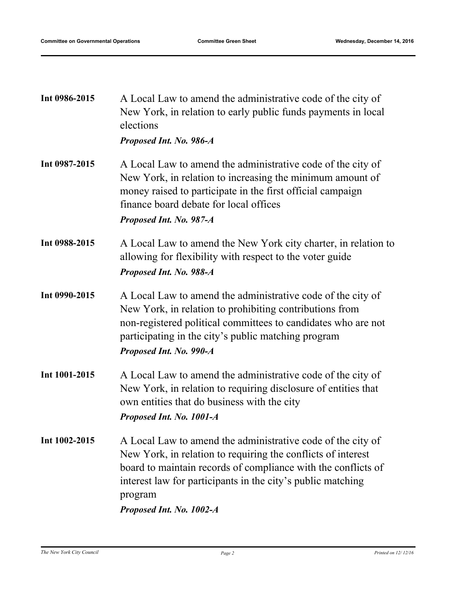| elections<br>Proposed Int. No. 986-A                                                                                                                                                                                                                                                               |
|----------------------------------------------------------------------------------------------------------------------------------------------------------------------------------------------------------------------------------------------------------------------------------------------------|
| A Local Law to amend the administrative code of the city of<br>New York, in relation to increasing the minimum amount of<br>money raised to participate in the first official campaign<br>finance board debate for local offices<br>Proposed Int. No. 987-A                                        |
| A Local Law to amend the New York city charter, in relation to<br>allowing for flexibility with respect to the voter guide<br>Proposed Int. No. 988-A                                                                                                                                              |
| A Local Law to amend the administrative code of the city of<br>New York, in relation to prohibiting contributions from<br>non-registered political committees to candidates who are not<br>participating in the city's public matching program<br>Proposed Int. No. 990-A                          |
| A Local Law to amend the administrative code of the city of<br>New York, in relation to requiring disclosure of entities that<br>own entities that do business with the city<br>Proposed Int. No. 1001-A                                                                                           |
| A Local Law to amend the administrative code of the city of<br>New York, in relation to requiring the conflicts of interest<br>board to maintain records of compliance with the conflicts of<br>interest law for participants in the city's public matching<br>program<br>Proposed Int. No. 1002-A |
|                                                                                                                                                                                                                                                                                                    |